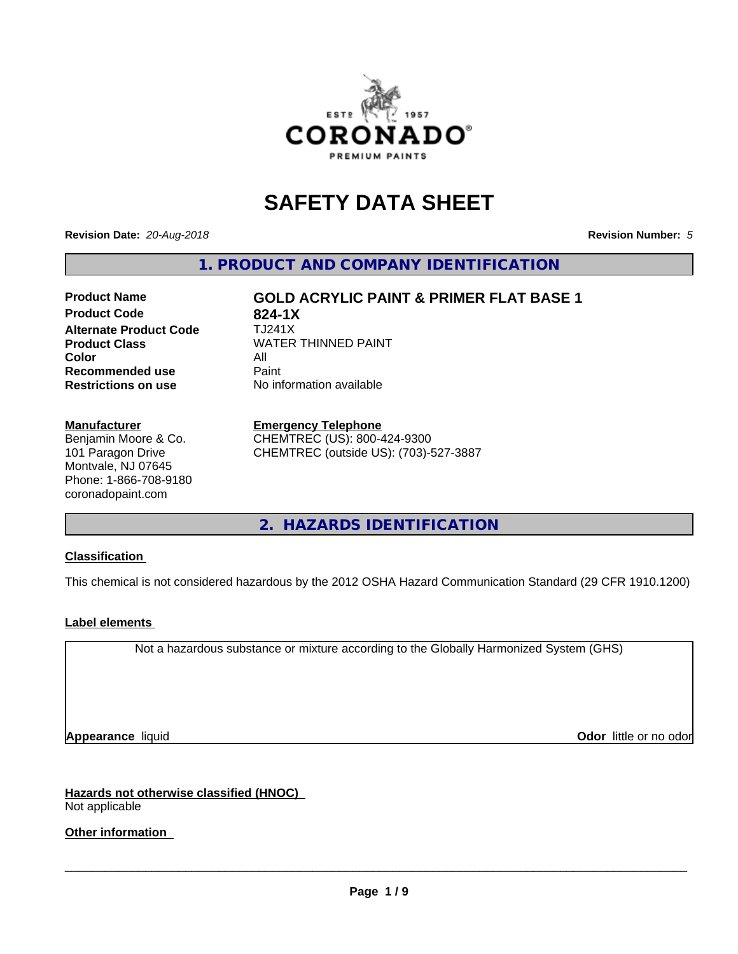

# **SAFETY DATA SHEET**

**Revision Date:** *20-Aug-2018* **Revision Number:** *5*

**1. PRODUCT AND COMPANY IDENTIFICATION**

### **Product Code 624-1X**<br>**Alternate Product Code** 7J241X **Alternate Product Code Product Class WATER THINNED PAINT Color** All All<br>**Recommended use** Paint **Recommended use Restrictions on use** No information available

**Product Name GOLD ACRYLIC PAINT & PRIMER FLAT BASE 1**

**Manufacturer**

Benjamin Moore & Co. 101 Paragon Drive Montvale, NJ 07645 Phone: 1-866-708-9180 coronadopaint.com

#### **Emergency Telephone**

CHEMTREC (US): 800-424-9300 CHEMTREC (outside US): (703)-527-3887

**2. HAZARDS IDENTIFICATION**

#### **Classification**

This chemical is not considered hazardous by the 2012 OSHA Hazard Communication Standard (29 CFR 1910.1200)

#### **Label elements**

Not a hazardous substance or mixture according to the Globally Harmonized System (GHS)

**Appearance** liquid **Contract Contract Contract Contract Contract Contract Contract Contract Contract Contract Contract Contract Contract Contract Contract Contract Contract Contract Contract Contract Contract Contract Con** 

**Hazards not otherwise classified (HNOC)** Not applicable

**Other information**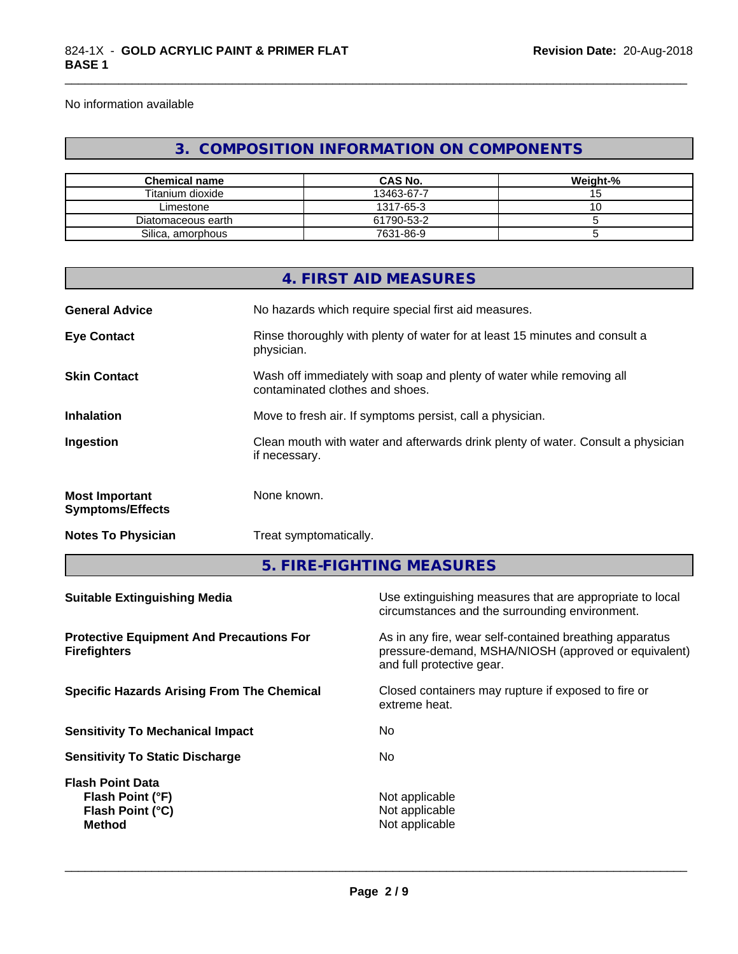No information available

### **3. COMPOSITION INFORMATION ON COMPONENTS**

\_\_\_\_\_\_\_\_\_\_\_\_\_\_\_\_\_\_\_\_\_\_\_\_\_\_\_\_\_\_\_\_\_\_\_\_\_\_\_\_\_\_\_\_\_\_\_\_\_\_\_\_\_\_\_\_\_\_\_\_\_\_\_\_\_\_\_\_\_\_\_\_\_\_\_\_\_\_\_\_\_\_\_\_\_\_\_\_\_\_\_\_\_

| <b>Chemical name</b> | <b>CAS No.</b> | Weight-% |
|----------------------|----------------|----------|
| Titanium dioxide     | 13463-67-7     |          |
| Limestone            | 1317-65-3      |          |
| Diatomaceous earth   | 61790-53-2     |          |
| Silica, amorphous    | 7631-86-9      |          |

|                                                  | 4. FIRST AID MEASURES                                                                                    |
|--------------------------------------------------|----------------------------------------------------------------------------------------------------------|
| <b>General Advice</b>                            | No hazards which require special first aid measures.                                                     |
| <b>Eye Contact</b>                               | Rinse thoroughly with plenty of water for at least 15 minutes and consult a<br>physician.                |
| <b>Skin Contact</b>                              | Wash off immediately with soap and plenty of water while removing all<br>contaminated clothes and shoes. |
| <b>Inhalation</b>                                | Move to fresh air. If symptoms persist, call a physician.                                                |
| Ingestion                                        | Clean mouth with water and afterwards drink plenty of water. Consult a physician<br>if necessary.        |
| <b>Most Important</b><br><b>Symptoms/Effects</b> | None known.                                                                                              |
| <b>Notes To Physician</b>                        | Treat symptomatically.                                                                                   |

**5. FIRE-FIGHTING MEASURES**

| Use extinguishing measures that are appropriate to local<br>circumstances and the surrounding environment.                                   |
|----------------------------------------------------------------------------------------------------------------------------------------------|
| As in any fire, wear self-contained breathing apparatus<br>pressure-demand, MSHA/NIOSH (approved or equivalent)<br>and full protective gear. |
| Closed containers may rupture if exposed to fire or<br>extreme heat.                                                                         |
| No.                                                                                                                                          |
| No.                                                                                                                                          |
| Not applicable<br>Not applicable<br>Not applicable                                                                                           |
|                                                                                                                                              |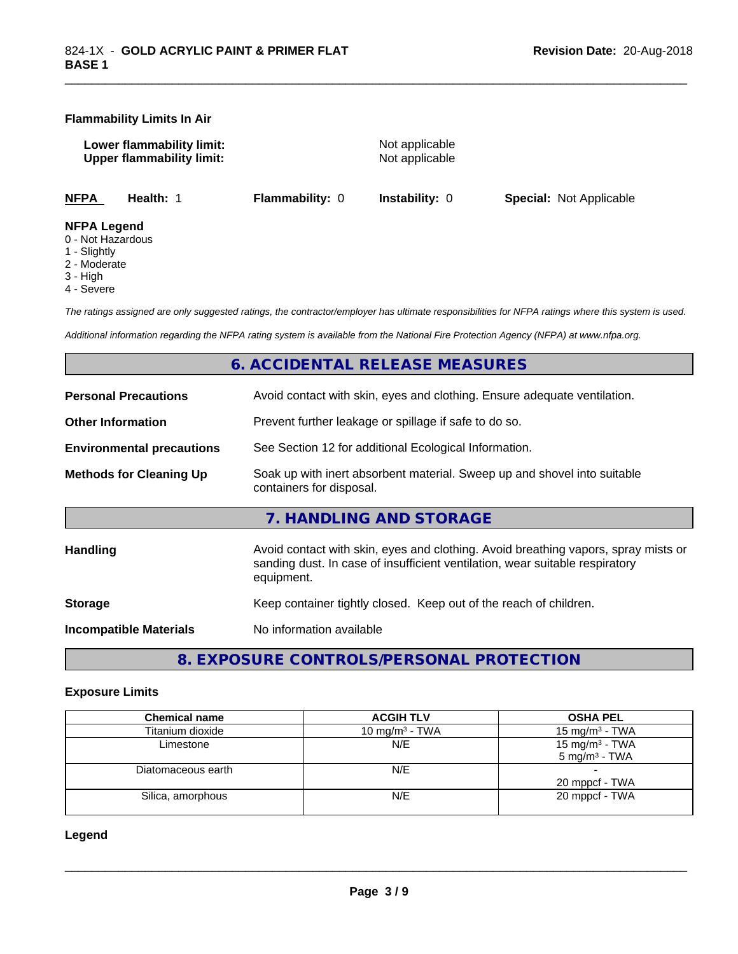#### **Flammability Limits In Air**

**Lower flammability limit:**<br>
Upper flammability limit:<br>
Upper flammability limit:<br>
Not applicable **Upper flammability limit:** 

\_\_\_\_\_\_\_\_\_\_\_\_\_\_\_\_\_\_\_\_\_\_\_\_\_\_\_\_\_\_\_\_\_\_\_\_\_\_\_\_\_\_\_\_\_\_\_\_\_\_\_\_\_\_\_\_\_\_\_\_\_\_\_\_\_\_\_\_\_\_\_\_\_\_\_\_\_\_\_\_\_\_\_\_\_\_\_\_\_\_\_\_\_

**NFPA Health:** 1 **Flammability:** 0 **Instability:** 0 **Special:** Not Applicable

#### **NFPA Legend**

- 0 Not Hazardous
- 1 Slightly
- 2 Moderate
- 3 High
- 4 Severe

*The ratings assigned are only suggested ratings, the contractor/employer has ultimate responsibilities for NFPA ratings where this system is used.*

*Additional information regarding the NFPA rating system is available from the National Fire Protection Agency (NFPA) at www.nfpa.org.*

### **6. ACCIDENTAL RELEASE MEASURES**

| <b>Personal Precautions</b>      | Avoid contact with skin, eyes and clothing. Ensure adequate ventilation.                                                                                                         |
|----------------------------------|----------------------------------------------------------------------------------------------------------------------------------------------------------------------------------|
| <b>Other Information</b>         | Prevent further leakage or spillage if safe to do so.                                                                                                                            |
| <b>Environmental precautions</b> | See Section 12 for additional Ecological Information.                                                                                                                            |
| <b>Methods for Cleaning Up</b>   | Soak up with inert absorbent material. Sweep up and shovel into suitable<br>containers for disposal.                                                                             |
|                                  | 7. HANDLING AND STORAGE                                                                                                                                                          |
| Handling                         | Avoid contact with skin, eyes and clothing. Avoid breathing vapors, spray mists or<br>sanding dust. In case of insufficient ventilation, wear suitable respiratory<br>equipment. |
| <b>Storage</b>                   | Keep container tightly closed. Keep out of the reach of children.                                                                                                                |
| <b>Incompatible Materials</b>    | No information available                                                                                                                                                         |
|                                  |                                                                                                                                                                                  |

**8. EXPOSURE CONTROLS/PERSONAL PROTECTION**

#### **Exposure Limits**

| <b>Chemical name</b> | <b>ACGIH TLV</b>  | <b>OSHA PEL</b>            |
|----------------------|-------------------|----------------------------|
| Titanium dioxide     | 10 mg/m $3$ - TWA | 15 mg/m <sup>3</sup> - TWA |
| Limestone            | N/E               | 15 mg/m $3$ - TWA          |
|                      |                   | $5 \text{ mg/m}^3$ - TWA   |
| Diatomaceous earth   | N/E               |                            |
|                      |                   | 20 mppcf - TWA             |
| Silica, amorphous    | N/E               | 20 mppcf - TWA             |
|                      |                   |                            |

**Legend**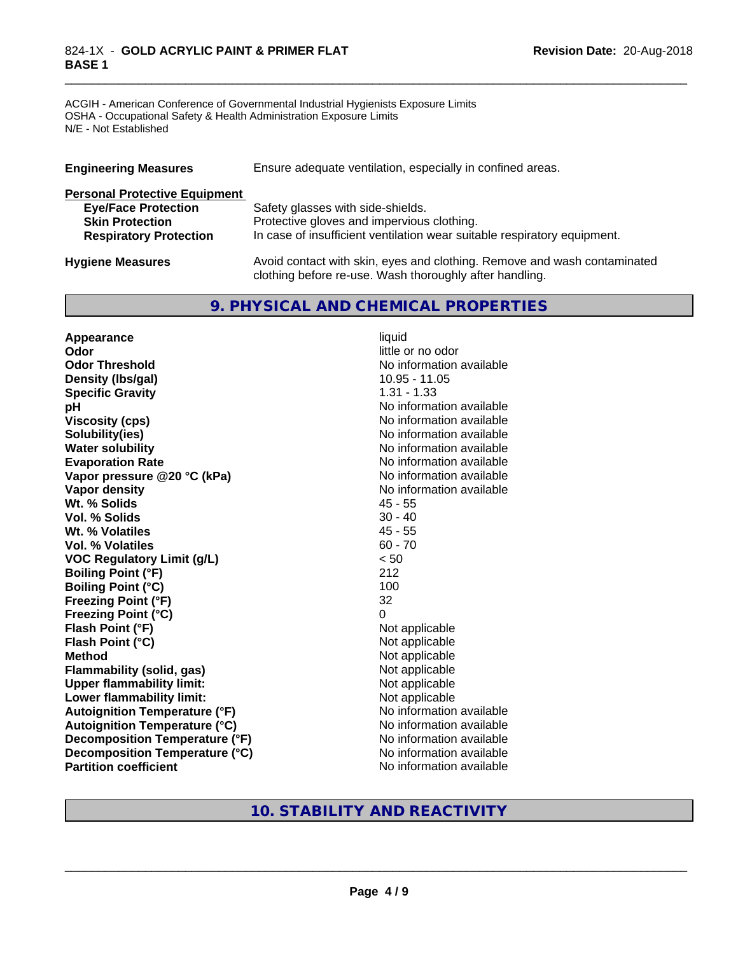#### 824-1X - **GOLD ACRYLIC PAINT & PRIMER FLAT BASE 1**

ACGIH - American Conference of Governmental Industrial Hygienists Exposure Limits OSHA - Occupational Safety & Health Administration Exposure Limits N/E - Not Established

| <b>Engineering Measures</b>          | Ensure adequate ventilation, especially in confined areas.               |  |  |
|--------------------------------------|--------------------------------------------------------------------------|--|--|
| <b>Personal Protective Equipment</b> |                                                                          |  |  |
| <b>Eye/Face Protection</b>           | Safety glasses with side-shields.                                        |  |  |
| <b>Skin Protection</b>               | Protective gloves and impervious clothing.                               |  |  |
| <b>Respiratory Protection</b>        | In case of insufficient ventilation wear suitable respiratory equipment. |  |  |
| <b>Hygiene Measures</b>              | Avoid contact with skin, eyes and clothing. Remove and wash contaminated |  |  |

clothing before re-use. Wash thoroughly after handling.

\_\_\_\_\_\_\_\_\_\_\_\_\_\_\_\_\_\_\_\_\_\_\_\_\_\_\_\_\_\_\_\_\_\_\_\_\_\_\_\_\_\_\_\_\_\_\_\_\_\_\_\_\_\_\_\_\_\_\_\_\_\_\_\_\_\_\_\_\_\_\_\_\_\_\_\_\_\_\_\_\_\_\_\_\_\_\_\_\_\_\_\_\_

### **9. PHYSICAL AND CHEMICAL PROPERTIES**

**Appearance** liquid **Odor** little or no odor **Odor Threshold** No information available **Density (Ibs/gal)** 10.95 - 11.05 **Specific Gravity** 1.31 - 1.33 **pH pH**  $\blacksquare$ **Viscosity (cps)** No information available **Solubility(ies)** No information available **Water solubility** No information available **Evaporation Rate No information available No information available Vapor pressure @20 °C (kPa)** No information available **Vapor density**<br> **With the Solids**<br>
With the Solids
25 - 55<br>
45 - 55 **Wt. % Solids** 45 - 55<br> **Vol. % Solids** 30 - 40 **Vol. % Solids Wt. % Volatiles** 45 - 55 **Vol. % Volatiles** 60 - 70 **VOC Regulatory Limit (g/L)** < 50 **Boiling Point (°F)** 212 **Boiling Point (°C)** 100 **Freezing Point (°F)** 32 **Freezing Point (°C)** 0 **Flash Point (°F)** Not applicable **Flash Point (°C)** Not applicable **Method**<br> **Flammability (solid, gas)**<br> **Commability (solid, gas)**<br>
Mot applicable **Flammability** (solid, gas) **Upper flammability limit:**<br> **Lower flammability limit:** Not applicable Not applicable **Lower flammability limit:**<br> **Autoignition Temperature (°F)** Not applicable available and the Mustafable and Mustafable and Mustafable and Mu **Autoignition Temperature (°F) Autoignition Temperature (°C)** No information available **Decomposition Temperature (°F)** No information available **Decomposition Temperature (°C)** No information available **Partition coefficient** No information available

### **10. STABILITY AND REACTIVITY**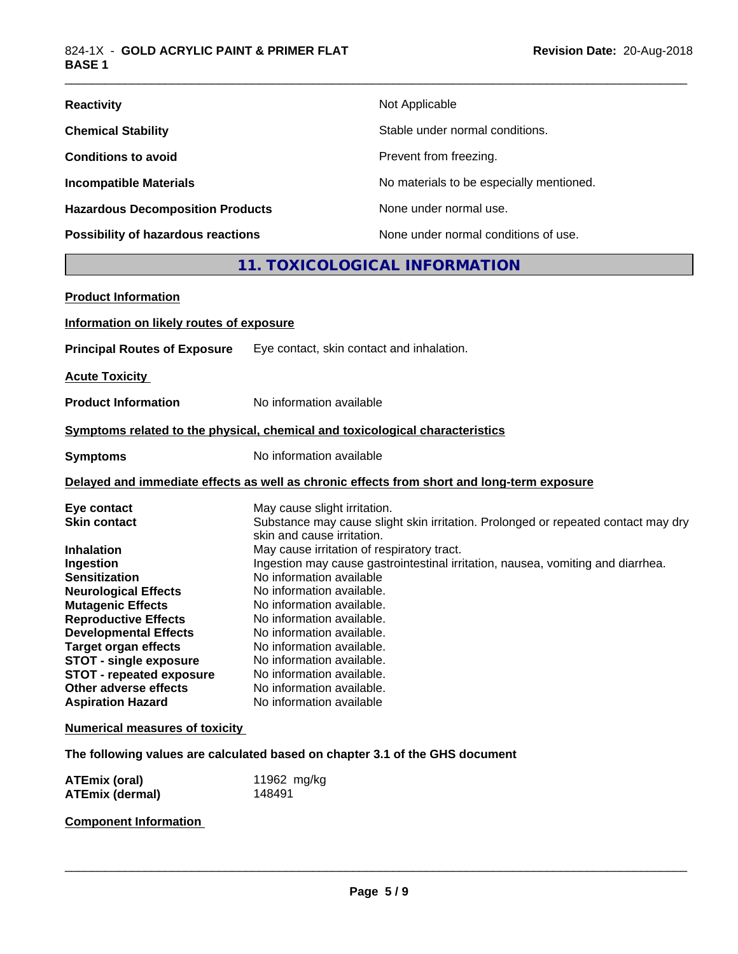| <b>Reactivity</b>                       | Not Applicable                           |
|-----------------------------------------|------------------------------------------|
| <b>Chemical Stability</b>               | Stable under normal conditions.          |
| <b>Conditions to avoid</b>              | Prevent from freezing.                   |
| <b>Incompatible Materials</b>           | No materials to be especially mentioned. |
| <b>Hazardous Decomposition Products</b> | None under normal use.                   |
| Possibility of hazardous reactions      | None under normal conditions of use.     |

### **11. TOXICOLOGICAL INFORMATION**

\_\_\_\_\_\_\_\_\_\_\_\_\_\_\_\_\_\_\_\_\_\_\_\_\_\_\_\_\_\_\_\_\_\_\_\_\_\_\_\_\_\_\_\_\_\_\_\_\_\_\_\_\_\_\_\_\_\_\_\_\_\_\_\_\_\_\_\_\_\_\_\_\_\_\_\_\_\_\_\_\_\_\_\_\_\_\_\_\_\_\_\_\_

| <b>Product Information</b>                                                                                                                                                                                                                                                                                                                                                            |                                                                                                                                                                                                                                                                                                                                                                                                                                                                                                                                                                                  |
|---------------------------------------------------------------------------------------------------------------------------------------------------------------------------------------------------------------------------------------------------------------------------------------------------------------------------------------------------------------------------------------|----------------------------------------------------------------------------------------------------------------------------------------------------------------------------------------------------------------------------------------------------------------------------------------------------------------------------------------------------------------------------------------------------------------------------------------------------------------------------------------------------------------------------------------------------------------------------------|
| Information on likely routes of exposure                                                                                                                                                                                                                                                                                                                                              |                                                                                                                                                                                                                                                                                                                                                                                                                                                                                                                                                                                  |
| <b>Principal Routes of Exposure</b>                                                                                                                                                                                                                                                                                                                                                   | Eye contact, skin contact and inhalation.                                                                                                                                                                                                                                                                                                                                                                                                                                                                                                                                        |
| <b>Acute Toxicity</b>                                                                                                                                                                                                                                                                                                                                                                 |                                                                                                                                                                                                                                                                                                                                                                                                                                                                                                                                                                                  |
| <b>Product Information</b>                                                                                                                                                                                                                                                                                                                                                            | No information available                                                                                                                                                                                                                                                                                                                                                                                                                                                                                                                                                         |
|                                                                                                                                                                                                                                                                                                                                                                                       | Symptoms related to the physical, chemical and toxicological characteristics                                                                                                                                                                                                                                                                                                                                                                                                                                                                                                     |
| <b>Symptoms</b>                                                                                                                                                                                                                                                                                                                                                                       | No information available                                                                                                                                                                                                                                                                                                                                                                                                                                                                                                                                                         |
|                                                                                                                                                                                                                                                                                                                                                                                       | Delayed and immediate effects as well as chronic effects from short and long-term exposure                                                                                                                                                                                                                                                                                                                                                                                                                                                                                       |
| Eye contact<br><b>Skin contact</b><br><b>Inhalation</b><br>Ingestion<br><b>Sensitization</b><br><b>Neurological Effects</b><br><b>Mutagenic Effects</b><br><b>Reproductive Effects</b><br><b>Developmental Effects</b><br><b>Target organ effects</b><br><b>STOT - single exposure</b><br><b>STOT - repeated exposure</b><br><b>Other adverse effects</b><br><b>Aspiration Hazard</b> | May cause slight irritation.<br>Substance may cause slight skin irritation. Prolonged or repeated contact may dry<br>skin and cause irritation.<br>May cause irritation of respiratory tract.<br>Ingestion may cause gastrointestinal irritation, nausea, vomiting and diarrhea.<br>No information available<br>No information available.<br>No information available.<br>No information available.<br>No information available.<br>No information available.<br>No information available.<br>No information available.<br>No information available.<br>No information available |
| <b>Numerical measures of toxicity</b>                                                                                                                                                                                                                                                                                                                                                 |                                                                                                                                                                                                                                                                                                                                                                                                                                                                                                                                                                                  |
|                                                                                                                                                                                                                                                                                                                                                                                       | The following values are calculated based on chapter 3.1 of the GHS document                                                                                                                                                                                                                                                                                                                                                                                                                                                                                                     |
| <b>ATEmix (oral)</b><br><b>ATEmix (dermal)</b>                                                                                                                                                                                                                                                                                                                                        | 11962 mg/kg<br>148491                                                                                                                                                                                                                                                                                                                                                                                                                                                                                                                                                            |

### **Component Information**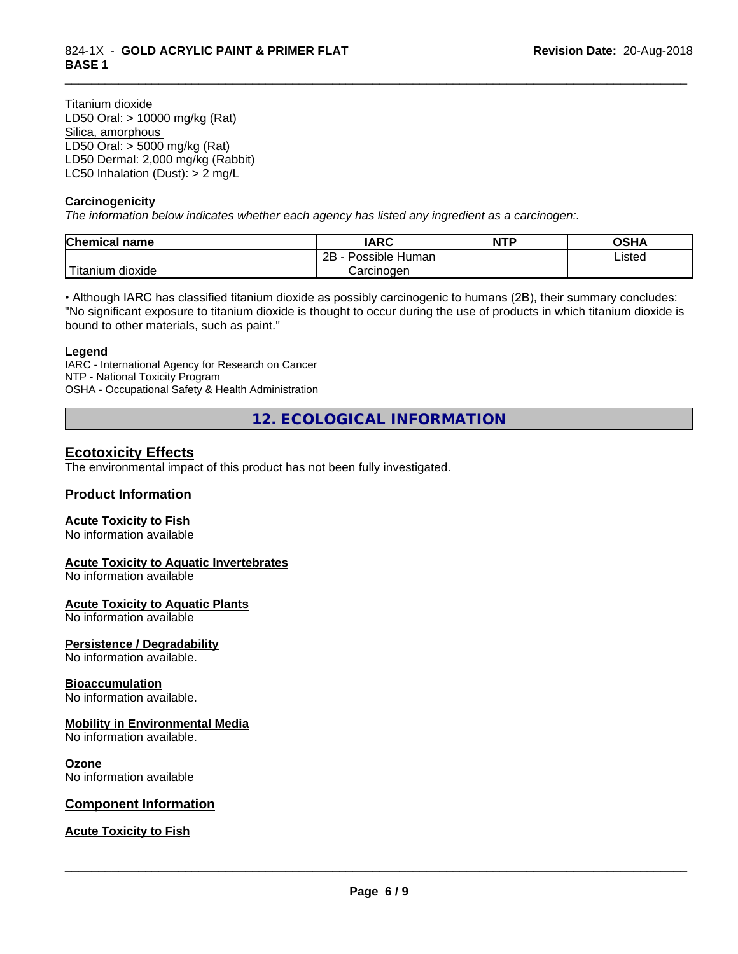Titanium dioxide LD50 Oral: > 10000 mg/kg (Rat) Silica, amorphous LD50 Oral: > 5000 mg/kg (Rat) LD50 Dermal: 2,000 mg/kg (Rabbit) LC50 Inhalation (Dust): > 2 mg/L

#### **Carcinogenicity**

*The information below indicateswhether each agency has listed any ingredient as a carcinogen:.*

| <b>Chemical name</b>               | <b>IARC</b>                  | <b>NTP</b> | <b>OCUM</b><br>יוחט |
|------------------------------------|------------------------------|------------|---------------------|
|                                    | .<br>2B<br>Possible<br>Human |            | ∟isted              |
| .<br>. dioxide .<br><b>itanium</b> | Carcinogen                   |            |                     |

\_\_\_\_\_\_\_\_\_\_\_\_\_\_\_\_\_\_\_\_\_\_\_\_\_\_\_\_\_\_\_\_\_\_\_\_\_\_\_\_\_\_\_\_\_\_\_\_\_\_\_\_\_\_\_\_\_\_\_\_\_\_\_\_\_\_\_\_\_\_\_\_\_\_\_\_\_\_\_\_\_\_\_\_\_\_\_\_\_\_\_\_\_

• Although IARC has classified titanium dioxide as possibly carcinogenic to humans (2B), their summary concludes: "No significant exposure to titanium dioxide is thought to occur during the use of products in which titanium dioxide is bound to other materials, such as paint."

#### **Legend**

IARC - International Agency for Research on Cancer NTP - National Toxicity Program OSHA - Occupational Safety & Health Administration

**12. ECOLOGICAL INFORMATION**

### **Ecotoxicity Effects**

The environmental impact of this product has not been fully investigated.

#### **Product Information**

#### **Acute Toxicity to Fish**

No information available

#### **Acute Toxicity to Aquatic Invertebrates**

No information available

#### **Acute Toxicity to Aquatic Plants**

No information available

#### **Persistence / Degradability**

No information available.

#### **Bioaccumulation**

No information available.

#### **Mobility in Environmental Media**

No information available.

#### **Ozone**

No information available

#### **Component Information**

#### **Acute Toxicity to Fish**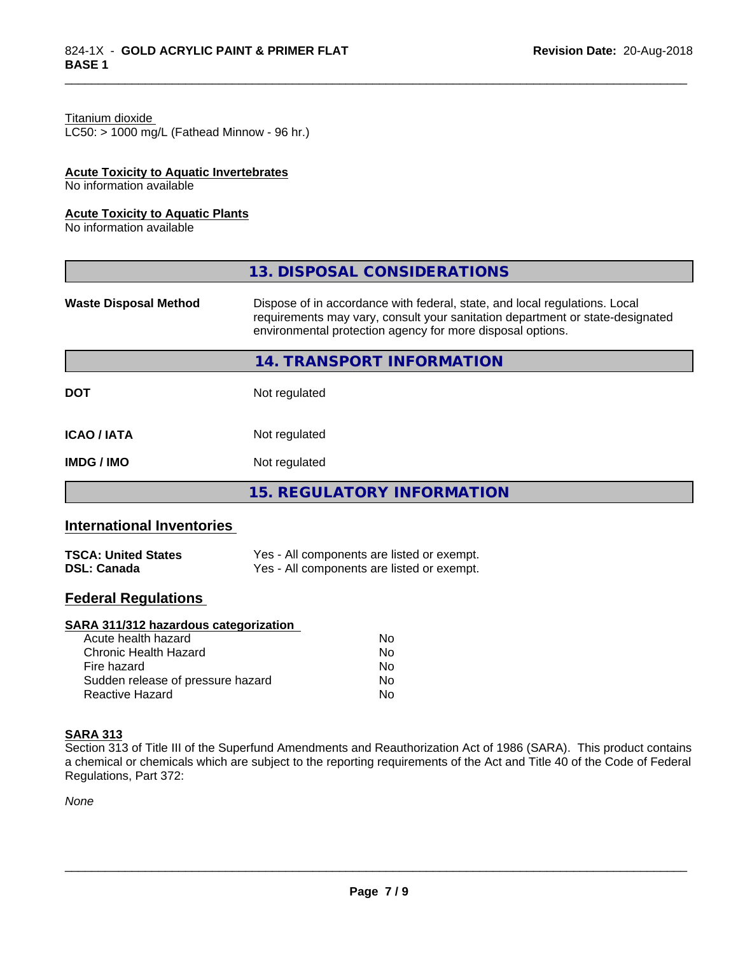#### Titanium dioxide

 $LC50:$  > 1000 mg/L (Fathead Minnow - 96 hr.)

#### **Acute Toxicity to Aquatic Invertebrates**

No information available

#### **Acute Toxicity to Aquatic Plants**

No information available

|                              | 13. DISPOSAL CONSIDERATIONS                                                                                                                                                                                               |
|------------------------------|---------------------------------------------------------------------------------------------------------------------------------------------------------------------------------------------------------------------------|
| <b>Waste Disposal Method</b> | Dispose of in accordance with federal, state, and local regulations. Local<br>requirements may vary, consult your sanitation department or state-designated<br>environmental protection agency for more disposal options. |
|                              | 14. TRANSPORT INFORMATION                                                                                                                                                                                                 |
| <b>DOT</b>                   | Not regulated                                                                                                                                                                                                             |
| <b>ICAO/IATA</b>             | Not regulated                                                                                                                                                                                                             |
| <b>IMDG / IMO</b>            | Not regulated                                                                                                                                                                                                             |
|                              | <b>15. REGULATORY INFORMATION</b>                                                                                                                                                                                         |

\_\_\_\_\_\_\_\_\_\_\_\_\_\_\_\_\_\_\_\_\_\_\_\_\_\_\_\_\_\_\_\_\_\_\_\_\_\_\_\_\_\_\_\_\_\_\_\_\_\_\_\_\_\_\_\_\_\_\_\_\_\_\_\_\_\_\_\_\_\_\_\_\_\_\_\_\_\_\_\_\_\_\_\_\_\_\_\_\_\_\_\_\_

### **International Inventories**

| <b>TSCA: United States</b> | Yes - All components are listed or exempt. |
|----------------------------|--------------------------------------------|
| <b>DSL: Canada</b>         | Yes - All components are listed or exempt. |

### **Federal Regulations**

#### **SARA 311/312 hazardous categorization**

| Acute health hazard               | No. |
|-----------------------------------|-----|
| Chronic Health Hazard             | N٥  |
| Fire hazard                       | Nο  |
| Sudden release of pressure hazard | Nο  |
| Reactive Hazard                   | N٥  |

#### **SARA 313**

Section 313 of Title III of the Superfund Amendments and Reauthorization Act of 1986 (SARA). This product contains a chemical or chemicals which are subject to the reporting requirements of the Act and Title 40 of the Code of Federal Regulations, Part 372:

*None*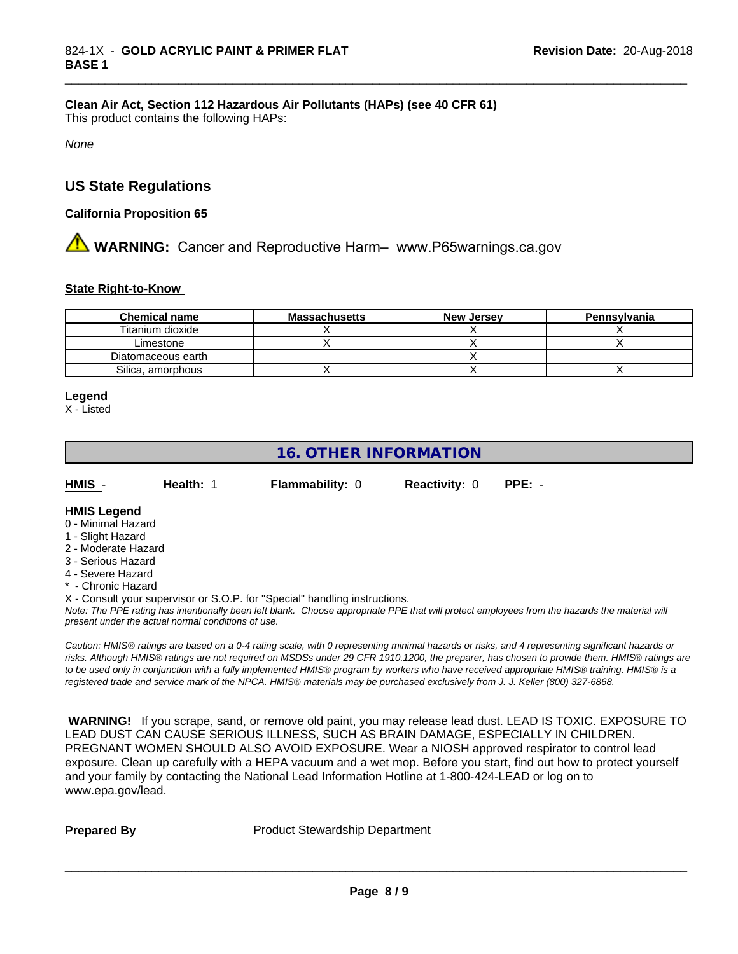#### **Clean Air Act,Section 112 Hazardous Air Pollutants (HAPs) (see 40 CFR 61)**

This product contains the following HAPs:

*None*

### **US State Regulations**

#### **California Proposition 65**

## **AVIMARNING:** Cancer and Reproductive Harm– www.P65warnings.ca.gov

#### **State Right-to-Know**

| <b>Chemical name</b> | <b>Massachusetts</b> | <b>New Jersey</b> | Pennsylvania |
|----------------------|----------------------|-------------------|--------------|
| Titanium dioxide     |                      |                   |              |
| Limestone            |                      |                   |              |
| Diatomaceous earth   |                      |                   |              |
| Silica, amorphous    |                      |                   |              |

\_\_\_\_\_\_\_\_\_\_\_\_\_\_\_\_\_\_\_\_\_\_\_\_\_\_\_\_\_\_\_\_\_\_\_\_\_\_\_\_\_\_\_\_\_\_\_\_\_\_\_\_\_\_\_\_\_\_\_\_\_\_\_\_\_\_\_\_\_\_\_\_\_\_\_\_\_\_\_\_\_\_\_\_\_\_\_\_\_\_\_\_\_

#### **Legend**

X - Listed

### **16. OTHER INFORMATION**

| HMIS                                           | Health: | <b>Flammability: 0</b> | <b>Reactivity: 0</b> | $PPE: -$ |
|------------------------------------------------|---------|------------------------|----------------------|----------|
| <b>HMIS Legend</b><br>$\bigcap$ Minimal Harard |         |                        |                      |          |

#### 0 - Minimal Hazard

- 1 Slight Hazard
- 2 Moderate Hazard
- 3 Serious Hazard
- 4 Severe Hazard
- \* Chronic Hazard

X - Consult your supervisor or S.O.P. for "Special" handling instructions.

*Note: The PPE rating has intentionally been left blank. Choose appropriate PPE that will protect employees from the hazards the material will present under the actual normal conditions of use.*

*Caution: HMISÒ ratings are based on a 0-4 rating scale, with 0 representing minimal hazards or risks, and 4 representing significant hazards or risks. Although HMISÒ ratings are not required on MSDSs under 29 CFR 1910.1200, the preparer, has chosen to provide them. HMISÒ ratings are to be used only in conjunction with a fully implemented HMISÒ program by workers who have received appropriate HMISÒ training. HMISÒ is a registered trade and service mark of the NPCA. HMISÒ materials may be purchased exclusively from J. J. Keller (800) 327-6868.*

 **WARNING!** If you scrape, sand, or remove old paint, you may release lead dust. LEAD IS TOXIC. EXPOSURE TO LEAD DUST CAN CAUSE SERIOUS ILLNESS, SUCH AS BRAIN DAMAGE, ESPECIALLY IN CHILDREN. PREGNANT WOMEN SHOULD ALSO AVOID EXPOSURE.Wear a NIOSH approved respirator to control lead exposure. Clean up carefully with a HEPA vacuum and a wet mop. Before you start, find out how to protect yourself and your family by contacting the National Lead Information Hotline at 1-800-424-LEAD or log on to www.epa.gov/lead.

**Prepared By** Product Stewardship Department